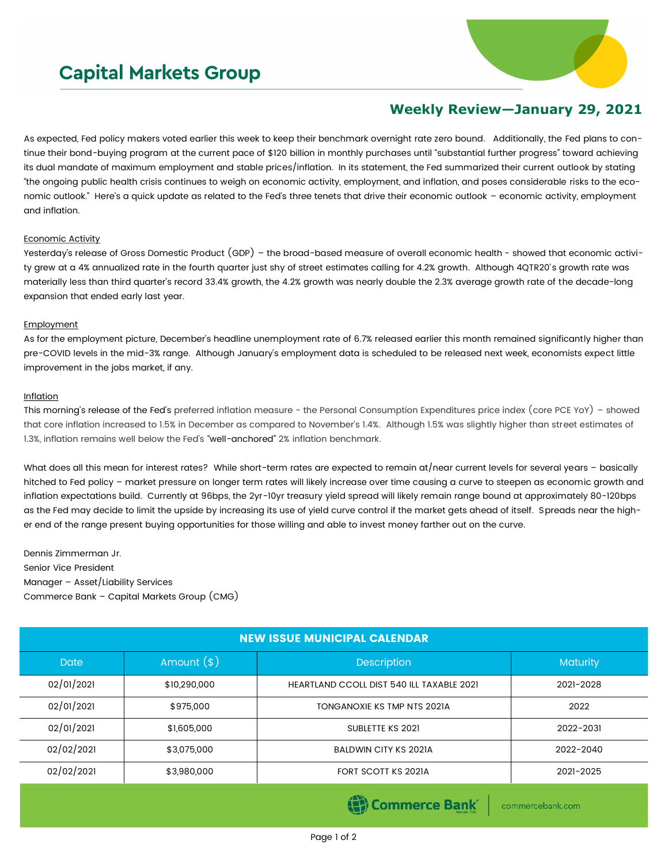# **Capital Markets Group**



## **Weekly Review—January 29, 2021**

As expected, Fed policy makers voted earlier this week to keep their benchmark overnight rate zero bound. Additionally, the Fed plans to continue their bond-buying program at the current pace of \$120 billion in monthly purchases until "substantial further progress" toward achieving its dual mandate of maximum employment and stable prices/inflation. In its statement, the Fed summarized their current outlook by stating "the ongoing public health crisis continues to weigh on economic activity, employment, and inflation, and poses considerable risks to the economic outlook." Here's a quick update as related to the Fed's three tenets that drive their economic outlook – economic activity, employment and inflation.

### Economic Activity

Yesterday's release of Gross Domestic Product (GDP) – the broad-based measure of overall economic health - showed that economic activity grew at a 4% annualized rate in the fourth quarter just shy of street estimates calling for 4.2% growth. Although 4QTR20's growth rate was materially less than third quarter's record 33.4% growth, the 4.2% growth was nearly double the 2.3% average growth rate of the decade-long expansion that ended early last year.

### Employment

As for the employment picture, December's headline unemployment rate of 6.7% released earlier this month remained significantly higher than pre-COVID levels in the mid-3% range. Although January's employment data is scheduled to be released next week, economists expect little improvement in the jobs market, if any.

### Inflation

This morning's release of the Fed's preferred inflation measure - the Personal Consumption Expenditures price index (core PCE YoY) – showed that core inflation increased to 1.5% in December as compared to November's 1.4%. Although 1.5% was slightly higher than street estimates of 1.3%, inflation remains well below the Fed's "well-anchored" 2% inflation benchmark.

What does all this mean for interest rates? While short-term rates are expected to remain at/near current levels for several years - basically hitched to Fed policy – market pressure on longer term rates will likely increase over time causing a curve to steepen as economic growth and inflation expectations build. Currently at 96bps, the 2yr-10yr treasury yield spread will likely remain range bound at approximately 80-120bps as the Fed may decide to limit the upside by increasing its use of yield curve control if the market gets ahead of itself. Spreads near the higher end of the range present buying opportunities for those willing and able to invest money farther out on the curve.

Dennis Zimmerman Jr. Senior Vice President Manager – Asset/Liability Services Commerce Bank – Capital Markets Group (CMG)

| <b>NEW ISSUE MUNICIPAL CALENDAR</b> |              |                                                  |           |  |  |  |
|-------------------------------------|--------------|--------------------------------------------------|-----------|--|--|--|
| <b>Date</b>                         | Amount $(s)$ | Description                                      | Maturity  |  |  |  |
| 02/01/2021                          | \$10,290,000 | <b>HEARTLAND CCOLL DIST 540 ILL TAXABLE 2021</b> | 2021-2028 |  |  |  |
| 02/01/2021                          | \$975,000    | TONGANOXIE KS TMP NTS 2021A                      | 2022      |  |  |  |
| 02/01/2021                          | \$1,605,000  | SUBLETTE KS 2021                                 | 2022-2031 |  |  |  |
| 02/02/2021                          | \$3,075,000  | <b>BALDWIN CITY KS 2021A</b>                     | 2022-2040 |  |  |  |
| 02/02/2021                          | \$3,980,000  | FORT SCOTT KS 2021A                              | 2021-2025 |  |  |  |
|                                     |              | <b><i>Contractor Contractor</i></b>              |           |  |  |  |

Page 1 of 2

**(E)** Commerce Bank

commercebank.com